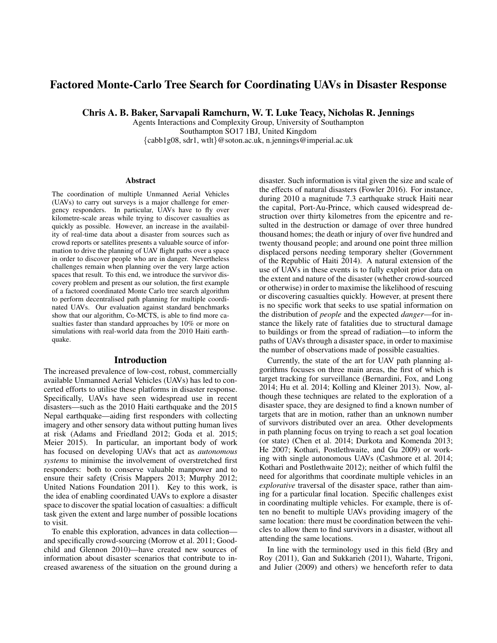# Factored Monte-Carlo Tree Search for Coordinating UAVs in Disaster Response

Chris A. B. Baker, Sarvapali Ramchurn, W. T. Luke Teacy, Nicholas R. Jennings

Agents Interactions and Complexity Group, University of Southampton Southampton SO17 1BJ, United Kingdom {cabb1g08, sdr1, wtlt}@soton.ac.uk, n.jennings@imperial.ac.uk

#### Abstract

The coordination of multiple Unmanned Aerial Vehicles (UAVs) to carry out surveys is a major challenge for emergency responders. In particular, UAVs have to fly over kilometre-scale areas while trying to discover casualties as quickly as possible. However, an increase in the availability of real-time data about a disaster from sources such as crowd reports or satellites presents a valuable source of information to drive the planning of UAV flight paths over a space in order to discover people who are in danger. Nevertheless challenges remain when planning over the very large action spaces that result. To this end, we introduce the survivor discovery problem and present as our solution, the first example of a factored coordinated Monte Carlo tree search algorithm to perform decentralised path planning for multiple coordinated UAVs. Our evaluation against standard benchmarks show that our algorithm, Co-MCTS, is able to find more casualties faster than standard approaches by 10% or more on simulations with real-world data from the 2010 Haiti earthquake.

### Introduction

The increased prevalence of low-cost, robust, commercially available Unmanned Aerial Vehicles (UAVs) has led to concerted efforts to utilise these platforms in disaster response. Specifically, UAVs have seen widespread use in recent disasters—such as the 2010 Haiti earthquake and the 2015 Nepal earthquake—aiding first responders with collecting imagery and other sensory data without putting human lives at risk (Adams and Friedland 2012; Goda et al. 2015; Meier 2015). In particular, an important body of work has focused on developing UAVs that act as *autonomous systems* to minimise the involvement of overstretched first responders: both to conserve valuable manpower and to ensure their safety (Crisis Mappers 2013; Murphy 2012; United Nations Foundation 2011). Key to this work, is the idea of enabling coordinated UAVs to explore a disaster space to discover the spatial location of casualties: a difficult task given the extent and large number of possible locations to visit.

To enable this exploration, advances in data collection and specifically crowd-sourcing (Morrow et al. 2011; Goodchild and Glennon 2010)—have created new sources of information about disaster scenarios that contribute to increased awareness of the situation on the ground during a

disaster. Such information is vital given the size and scale of the effects of natural disasters (Fowler 2016). For instance, during 2010 a magnitude 7.3 earthquake struck Haiti near the capital, Port-Au-Prince, which caused widespread destruction over thirty kilometres from the epicentre and resulted in the destruction or damage of over three hundred thousand homes; the death or injury of over five hundred and twenty thousand people; and around one point three million displaced persons needing temporary shelter (Government of the Republic of Haiti 2014). A natural extension of the use of UAVs in these events is to fully exploit prior data on the extent and nature of the disaster (whether crowd-sourced or otherwise) in order to maximise the likelihood of rescuing or discovering casualties quickly. However, at present there is no specific work that seeks to use spatial information on the distribution of *people* and the expected *danger*—for instance the likely rate of fatalities due to structural damage to buildings or from the spread of radiation—to inform the paths of UAVs through a disaster space, in order to maximise the number of observations made of possible casualties.

Currently, the state of the art for UAV path planning algorithms focuses on three main areas, the first of which is target tracking for surveillance (Bernardini, Fox, and Long 2014; Hu et al. 2014; Kolling and Kleiner 2013). Now, although these techniques are related to the exploration of a disaster space, they are designed to find a known number of targets that are in motion, rather than an unknown number of survivors distributed over an area. Other developments in path planning focus on trying to reach a set goal location (or state) (Chen et al. 2014; Durkota and Komenda 2013; He 2007; Kothari, Postlethwaite, and Gu 2009) or working with single autonomous UAVs (Cashmore et al. 2014; Kothari and Postlethwaite 2012); neither of which fulfil the need for algorithms that coordinate multiple vehicles in an *explorative* traversal of the disaster space, rather than aiming for a particular final location. Specific challenges exist in coordinating multiple vehicles. For example, there is often no benefit to multiple UAVs providing imagery of the same location: there must be coordination between the vehicles to allow them to find survivors in a disaster, without all attending the same locations.

In line with the terminology used in this field (Bry and Roy (2011), Gan and Sukkarieh (2011), Waharte, Trigoni, and Julier (2009) and others) we henceforth refer to data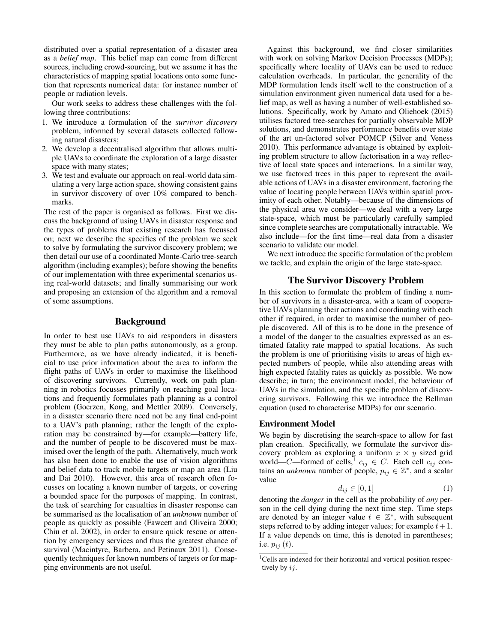distributed over a spatial representation of a disaster area as a *belief map*. This belief map can come from different sources, including crowd-sourcing, but we assume it has the characteristics of mapping spatial locations onto some function that represents numerical data: for instance number of people or radiation levels.

Our work seeks to address these challenges with the following three contributions:

- 1. We introduce a formulation of the *survivor discovery* problem, informed by several datasets collected following natural disasters;
- 2. We develop a decentralised algorithm that allows multiple UAVs to coordinate the exploration of a large disaster space with many states;
- 3. We test and evaluate our approach on real-world data simulating a very large action space, showing consistent gains in survivor discovery of over 10% compared to benchmarks.

The rest of the paper is organised as follows. First we discuss the background of using UAVs in disaster response and the types of problems that existing research has focussed on; next we describe the specifics of the problem we seek to solve by formulating the survivor discovery problem; we then detail our use of a coordinated Monte-Carlo tree-search algorithm (including examples); before showing the benefits of our implementation with three experimental scenarios using real-world datasets; and finally summarising our work and proposing an extension of the algorithm and a removal of some assumptions.

# Background

In order to best use UAVs to aid responders in disasters they must be able to plan paths autonomously, as a group. Furthermore, as we have already indicated, it is beneficial to use prior information about the area to inform the flight paths of UAVs in order to maximise the likelihood of discovering survivors. Currently, work on path planning in robotics focusses primarily on reaching goal locations and frequently formulates path planning as a control problem (Goerzen, Kong, and Mettler 2009). Conversely, in a disaster scenario there need not be any final end-point to a UAV's path planning; rather the length of the exploration may be constrained by—for example—battery life, and the number of people to be discovered must be maximised over the length of the path. Alternatively, much work has also been done to enable the use of vision algorithms and belief data to track mobile targets or map an area (Liu and Dai 2010). However, this area of research often focusses on locating a known number of targets, or covering a bounded space for the purposes of mapping. In contrast, the task of searching for casualties in disaster response can be summarised as the localisation of an *unknown* number of people as quickly as possible (Fawcett and Oliveira 2000; Chiu et al. 2002), in order to ensure quick rescue or attention by emergency services and thus the greatest chance of survival (Macintyre, Barbera, and Petinaux 2011). Consequently techniques for known numbers of targets or for mapping environments are not useful.

Against this background, we find closer similarities with work on solving Markov Decision Processes (MDPs); specifically where locality of UAVs can be used to reduce calculation overheads. In particular, the generality of the MDP formulation lends itself well to the construction of a simulation environment given numerical data used for a belief map, as well as having a number of well-established solutions. Specifically, work by Amato and Oliehoek (2015) utilises factored tree-searches for partially observable MDP solutions, and demonstrates performance benefits over state of the art un-factored solver POMCP (Silver and Veness 2010). This performance advantage is obtained by exploiting problem structure to allow factorisation in a way reflective of local state spaces and interactions. In a similar way, we use factored trees in this paper to represent the available actions of UAVs in a disaster environment, factoring the value of locating people between UAVs within spatial proximity of each other. Notably—because of the dimensions of the physical area we consider—we deal with a very large state-space, which must be particularly carefully sampled since complete searches are computationally intractable. We also include—for the first time—real data from a disaster scenario to validate our model.

We next introduce the specific formulation of the problem we tackle, and explain the origin of the large state-space.

# The Survivor Discovery Problem

In this section to formulate the problem of finding a number of survivors in a disaster-area, with a team of cooperative UAVs planning their actions and coordinating with each other if required, in order to maximise the number of people discovered. All of this is to be done in the presence of a model of the danger to the casualties expressed as an estimated fatality rate mapped to spatial locations. As such the problem is one of prioritising visits to areas of high expected numbers of people, while also attending areas with high expected fatality rates as quickly as possible. We now describe; in turn; the environment model, the behaviour of UAVs in the simulation, and the specific problem of discovering survivors. Following this we introduce the Bellman equation (used to characterise MDPs) for our scenario.

### Environment Model

We begin by discretising the search-space to allow for fast plan creation. Specifically, we formulate the survivor discovery problem as exploring a uniform  $x \times y$  sized grid world—C—formed of cells,  $c_{ij} \in C$ . Each cell  $c_{ij}$  contains an *unknown* number of people,  $p_{ij} \in \mathbb{Z}^*$ , and a scalar value

$$
d_{ij} \in [0,1] \tag{1}
$$

denoting the *danger* in the cell as the probability of *any* person in the cell dying during the next time step. Time steps are denoted by an integer value  $t \in \mathbb{Z}^*$ , with subsequent steps referred to by adding integer values; for example  $t + 1$ . If a value depends on time, this is denoted in parentheses; i.e.  $p_{ij}(t)$ .

<sup>&</sup>lt;sup>1</sup>Cells are indexed for their horizontal and vertical position respectively by ij.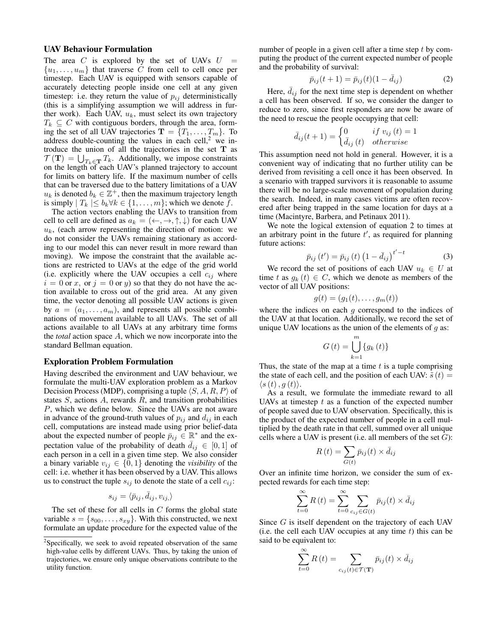#### UAV Behaviour Formulation

The area C is explored by the set of UAVs  $U =$  $\{u_1, \ldots, u_m\}$  that traverse C from cell to cell once per timestep. Each UAV is equipped with sensors capable of accurately detecting people inside one cell at any given timestep: i.e. they return the value of  $p_{ij}$  deterministically (this is a simplifying assumption we will address in further work). Each UAV,  $u_k$ , must select its own trajectory  $T_k \subseteq C$  with contiguous borders, through the area, forming the set of all UAV trajectories  $\mathbf{T} = \{T_1, \dots, T_m\}$ . To address double-counting the values in each cell, $2$  we introduce the union of all the trajectories in the set  $T$  as  $\mathcal{T}(\mathbf{T}) = \bigcup_{T_k \in \mathbf{T}} T_k$ . Additionally, we impose constraints on the length of each UAV's planned trajectory to account for limits on battery life. If the maximum number of cells that can be traversed due to the battery limitations of a UAV  $u_k$  is denoted  $b_k \in \mathbb{Z}^+$ , then the maximum trajectory length is simply  $|T_k| \leq b_k \forall k \in \{1, ..., m\}$ ; which we denote f.

The action vectors enabling the UAVs to transition from cell to cell are defined as  $a_k = (+, \rightarrow, \uparrow, \downarrow)$  for each UAV  $u_k$ , (each arrow representing the direction of motion: we do not consider the UAVs remaining stationary as according to our model this can never result in more reward than moving). We impose the constraint that the available actions are restricted to UAVs at the edge of the grid world (i.e. explicitly where the UAV occupies a cell  $c_{ij}$  where  $i = 0$  or x, or  $j = 0$  or y) so that they do not have the action available to cross out of the grid area. At any given time, the vector denoting all possible UAV actions is given by  $a = (a_1, \ldots, a_m)$ , and represents all possible combinations of movement available to all UAVs. The set of all actions available to all UAVs at any arbitrary time forms the *total* action space A, which we now incorporate into the standard Bellman equation.

#### Exploration Problem Formulation

Having described the environment and UAV behaviour, we formulate the multi-UAV exploration problem as a Markov Decision Process (MDP), comprising a tuple  $\langle S, A, R, P \rangle$  of states  $S$ , actions  $A$ , rewards  $R$ , and transition probabilities P, which we define below. Since the UAVs are not aware in advance of the ground-truth values of  $p_{ij}$  and  $d_{ij}$  in each cell, computations are instead made using prior belief-data about the expected number of people  $\overline{p}_{ij} \in \mathbb{R}^*$  and the expectation value of the probability of death  $\overline{d}_{ij} \in [0,1]$  of each person in a cell in a given time step. We also consider a binary variable  $v_{ij} \in \{0, 1\}$  denoting the *visibility* of the cell: i.e. whether it has been observed by a UAV. This allows us to construct the tuple  $s_{ij}$  to denote the state of a cell  $c_{ij}$ :

$$
s_{ij} = \langle \bar{p}_{ij}, \bar{d}_{ij}, v_{ij} \rangle
$$

The set of these for all cells in  $C$  forms the global state variable  $s = \{s_{00}, \ldots, s_{xy}\}.$  With this constructed, we next formulate an update procedure for the expected value of the

number of people in a given cell after a time step  $t$  by computing the product of the current expected number of people and the probability of survival:

$$
\bar{p}_{ij}(t+1) = \bar{p}_{ij}(t)(1 - \bar{d}_{ij})
$$
\n(2)

Here,  $\overline{d}_{ij}$  for the next time step is dependent on whether a cell has been observed. If so, we consider the danger to reduce to zero, since first responders are now be aware of the need to rescue the people occupying that cell:

$$
\bar{d}_{ij}(t+1) = \begin{cases} 0 & if \ v_{ij}(t) = 1 \\ \bar{d}_{ij}(t) & otherwise \end{cases}
$$

This assumption need not hold in general. However, it is a convenient way of indicating that no further utility can be derived from revisiting a cell once it has been observed. In a scenario with trapped survivors it is reasonable to assume there will be no large-scale movement of population during the search. Indeed, in many cases victims are often recovered after being trapped in the same location for days at a time (Macintyre, Barbera, and Petinaux 2011).

We note the logical extension of equation 2 to times at an arbitrary point in the future  $t'$ , as required for planning future actions:

$$
\bar{p}_{ij}(t') = \bar{p}_{ij}(t) (1 - \bar{d}_{ij})^{t'-t}
$$
\n(3)

We record the set of positions of each UAV  $u_k \in U$  at time t as  $g_k(t) \in C$ , which we denote as members of the vector of all UAV positions:

$$
g(t) = (g_1(t), \ldots, g_m(t))
$$

where the indices on each  $q$  correspond to the indices of the UAV at that location. Additionally, we record the set of unique UAV locations as the union of the elements of  $q$  as:

$$
G\left(t\right) = \bigcup_{k=1}^{m} \{g_k\left(t\right)\}
$$

Thus, the state of the map at a time  $t$  is a tuple comprising the state of each cell, and the position of each UAV:  $\tilde{s}(t)$  =  $\langle s(t), g(t)\rangle.$ 

As a result, we formulate the immediate reward to all UAVs at timestep  $t$  as a function of the expected number of people saved due to UAV observation. Specifically, this is the product of the expected number of people in a cell multiplied by the death rate in that cell, summed over all unique cells where a UAV is present (i.e. all members of the set  $G$ ):

$$
R(t) = \sum_{G(t)} \bar{p}_{ij}(t) \times \bar{d}_{ij}
$$

Over an infinite time horizon, we consider the sum of expected rewards for each time step:

$$
\sum_{t=0}^{\infty} R(t) = \sum_{t=0}^{\infty} \sum_{c_{ij} \in G(t)} \bar{p}_{ij}(t) \times \bar{d}_{ij}
$$

Since G is itself dependent on the trajectory of each UAV (i.e. the cell each UAV occupies at any time  $t$ ) this can be said to be equivalent to:

$$
\sum_{t=0}^{\infty} R(t) = \sum_{c_{ij}(t) \in \mathcal{T}(\mathbf{T})} \bar{p}_{ij}(t) \times \bar{d}_{ij}
$$

<sup>&</sup>lt;sup>2</sup>Specifically, we seek to avoid repeated observation of the same high-value cells by different UAVs. Thus, by taking the union of trajectories, we ensure only unique observations contribute to the utility function.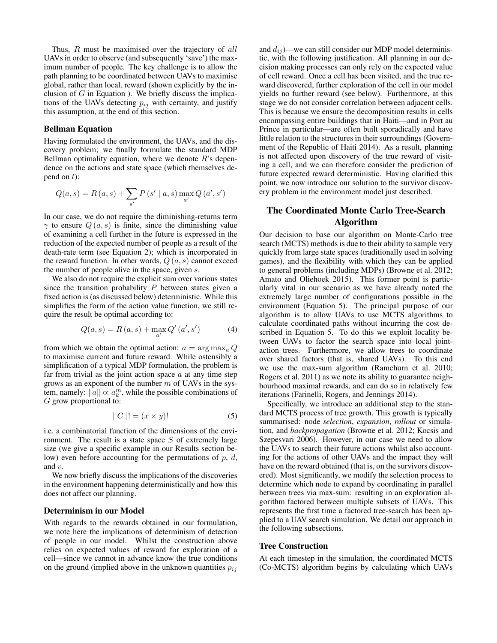Thus, R must be maximised over the trajectory of all UAVs in order to observe (and subsequently 'save') the maximum number of people. The key challenge is to allow the path planning to be coordinated between UAVs to maximise global, rather than local, reward (shown explicitly by the inclusion of  $G$  in Equation ). We briefly discuss the implications of the UAVs detecting  $p_{ij}$  with certainty, and justify this assumption, at the end of this section.

# Bellman Equation

Having formulated the environment, the UAVs, and the discovery problem; we finally formulate the standard MDP Bellman optimality equation, where we denote  $R$ 's dependence on the actions and state space (which themselves depend on  $t$ ):

$$
Q(a, s) = R(a, s) + \sum_{s'} P(s' | a, s) \max_{a'} Q(a', s')
$$

In our case, we do not require the diminishing-returns term  $\gamma$  to ensure  $Q(a, s)$  is finite, since the diminishing value of examining a cell further in the future is expressed in the reduction of the expected number of people as a result of the death-rate term (see Equation 2); which is incorporated in the reward function. In other words,  $Q(a, s)$  cannot exceed the number of people alive in the space, given s.

We also do not require the explicit sum over various states since the transition probability  $P$  between states given a fixed action is (as discussed below) deterministic. While this simplifies the form of the action value function, we still require the result be optimal according to:

$$
Q(a, s) = R(a, s) + \max_{a'} Q'(a', s')
$$
 (4)

from which we obtain the optimal action:  $a = \arg \max_a Q$ to maximise current and future reward. While ostensibly a simplification of a typical MDP formulation, the problem is far from trivial as the joint action space  $a$  at any time step grows as an exponent of the number  $m$  of UAVs in the system, namely:  $\|\hat{a}\| \propto a_k^m$ , while the possible combinations of G grow proportional to:

$$
|C|! = (x \times y)!
$$
 (5)

i.e. a combinatorial function of the dimensions of the environment. The result is a state space  $S$  of extremely large size (we give a specific example in our Results section below) even before accounting for the permutations of  $p$ ,  $d$ , and v.

We now briefly discuss the implications of the discoveries in the environment happening deterministically and how this does not affect our planning.

# Determinism in our Model

With regards to the rewards obtained in our formulation, we note here the implications of determinism of detection of people in our model. Whilst the construction above relies on expected values of reward for exploration of a cell—since we cannot in advance know the true conditions on the ground (implied above in the unknown quantities  $p_{ij}$ )

and  $d_{ij}$ )—we can still consider our MDP model deterministic, with the following justification. All planning in our decision making processes can only rely on the expected value of cell reward. Once a cell has been visited, and the true reward discovered, further exploration of the cell in our model yields no further reward (see below). Furthermore, at this stage we do not consider correlation between adjacent cells. This is because we ensure the decomposition results in cells encompassing entire buildings that in Haiti—and in Port au Prince in particular—are often built sporadically and have little relation to the structures in their surroundings (Government of the Republic of Haiti 2014). As a result, planning is not affected upon discovery of the true reward of visiting a cell, and we can therefore consider the prediction of future expected reward deterministic. Having clarified this point, we now introduce our solution to the survivor discovery problem in the environment model just described.

# The Coordinated Monte Carlo Tree-Search Algorithm

Our decision to base our algorithm on Monte-Carlo tree search (MCTS) methods is due to their ability to sample very quickly from large state spaces (traditionally used in solving games), and the flexibility with which they can be applied to general problems (including MDPs) (Browne et al. 2012; Amato and Oliehoek 2015). This former point is particularly vital in our scenario as we have already noted the extremely large number of configurations possible in the environment (Equation 5). The principal purpose of our algorithm is to allow UAVs to use MCTS algorithms to calculate coordinated paths without incurring the cost described in Equation 5. To do this we exploit locality between UAVs to factor the search space into local jointaction trees. Furthermore, we allow trees to coordinate over shared factors (that is, shared UAVs). To this end we use the max-sum algorithm (Ramchurn et al. 2010; Rogers et al. 2011) as we note its ability to guarantee neighbourhood maximal rewards, and can do so in relatively few iterations (Farinelli, Rogers, and Jennings 2014).

Specifically, we introduce an additional step to the standard MCTS process of tree growth. This growth is typically summarised: node *selection*, *expansion*, *rollout* or simulation, and *backpropagation* (Browne et al. 2012; Kocsis and Szepesvari 2006). However, in our case we need to allow the UAVs to search their future actions whilst also accounting for the actions of other UAVs and the impact they will have on the reward obtained (that is, on the survivors discovered). Most significantly, we modify the selection process to determine which node to expand by coordinating in parallel between trees via max-sum: resulting in an exploration algorithm factored between multiple subsets of UAVs. This represents the first time a factored tree-search has been applied to a UAV search simulation. We detail our approach in the following subsections.

#### Tree Construction

At each timestep in the simulation, the coordinated MCTS (Co-MCTS) algorithm begins by calculating which UAVs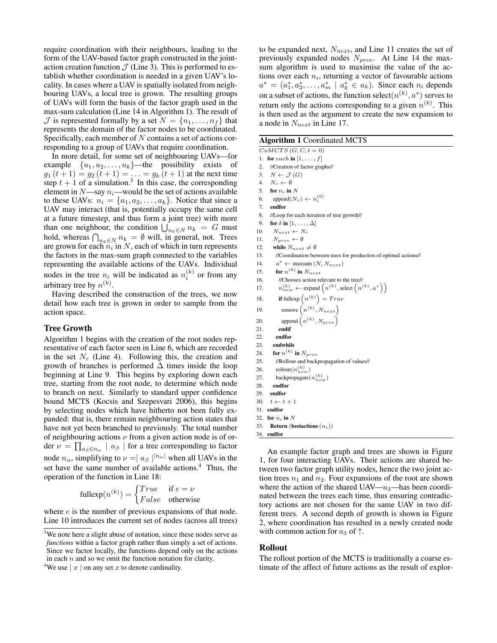require coordination with their neighbours, leading to the form of the UAV-based factor graph constructed in the jointaction creation function  $J$  (Line 3). This is performed to establish whether coordination is needed in a given UAV's locality. In cases where a UAV is spatially isolated from neighbouring UAVs, a local tree is grown. The resulting groups of UAVs will form the basis of the factor graph used in the max-sum calculation (Line 14 in Algorithm 1). The result of  $\mathcal J$  is represented formally by a set  $N = \{n_1, \ldots, n_f\}$  that represents the domain of the factor nodes to be coordinated. Specifically, each member of  $N$  contains a set of actions corresponding to a group of UAVs that require coordination.

In more detail, for some set of neighbouring UAVs—for example  $\{u_1, u_2, \ldots, u_k\}$ —the possibility exists of  $g_1(t+1) = g_2(t+1) = \ldots = g_k(t+1)$  at the next time step  $t + 1$  of a simulation.<sup>3</sup> In this case, the corresponding element in  $N$ —say  $n_i$ —would be the set of actions available to these UAVs:  $n_i = \{a_1, a_2, \ldots, a_k\}$ . Notice that since a UAV may interact (that is, potentially occupy the same cell at a future timestep, and thus form a joint tree) with more than one neighbour, the condition  $\bigcup_{n_k\in\mathbb{N}} n_k = G$  must hold, whereas  $\bigcap_{n_k \in N} n_k = \emptyset$  will, in general, not. Trees are grown for each  $n_i$  in N, each of which in turn represents the factors in the max-sum graph connected to the variables representing the available actions of the UAVs. Individual nodes in the tree  $n_i$  will be indicated as  $n_i^{(k)}$  or from any arbitrary tree by  $n^{(k)}$ .

Having described the construction of the trees, we now detail how each tree is grown in order to sample from the action space.

### Tree Growth

Algorithm 1 begins with the creation of the root nodes representative of each factor seen in Line 6, which are recorded in the set  $N_r$  (Line 4). Following this, the creation and growth of branches is performed  $\Delta$  times inside the loop beginning at Line 9. This begins by exploring down each tree, starting from the root node, to determine which node to branch on next. Similarly to standard upper confidence bound MCTS (Kocsis and Szepesvari 2006), this begins by selecting nodes which have hitherto not been fully expanded: that is, there remain neighbouring action states that have not yet been branched to previously. The total number of neighbouring actions  $\nu$  from a given action node is of order  $\nu = \prod_{a_{\beta} \in n_{\alpha}} |a_{\beta}|$  for a tree corresponding to factor node  $n_{\alpha}$ , simplifying to  $\nu = |a_{\beta}|^{|n_{\alpha}|}$  when all UAVs in the set have the same number of available actions.<sup>4</sup> Thus, the operation of the function in Line 18:

fullexp
$$
(n^{(k)})
$$
 =  $\begin{cases} True & \text{if } e = \nu \\ False & \text{otherwise} \end{cases}$ 

where *e* is the number of previous expansions of that node. Line 10 introduces the current set of nodes (across all trees)

to be expanded next,  $N_{next}$ , and Line 11 creates the set of previously expanded nodes  $N_{prev}$ . At Line 14 the maxsum algorithm is used to maximise the value of the actions over each  $n_i$ , returning a vector of favourable actions  $a^* = (a_1^*, a_2^*, \dots, a_m^* \mid a_k^* \in a_k)$ . Since each  $n_i$  depends on a subset of actions, the function select $(n^{(k)}, a^*)$  serves to return only the actions corresponding to a given  $n^{(k)}$ . This is then used as the argument to create the new expansion to a node in  $N_{next}$  in Line 17.

| <b>Algorithm 1 Coordinated MCTS</b> |  |  |
|-------------------------------------|--|--|
|-------------------------------------|--|--|

|     | $\alpha$                                                                                                                     |
|-----|------------------------------------------------------------------------------------------------------------------------------|
|     | $CoMCTS(G, C, t=0)$                                                                                                          |
| 1.  | for each in $[1, \ldots, f]$                                                                                                 |
| 2.  | //Creation of factor graphs//                                                                                                |
| 3.  | $N \leftarrow \mathcal{J}(G)$                                                                                                |
|     | 4. $N_r \leftarrow \emptyset$                                                                                                |
|     | 5. for $n_i$ in N                                                                                                            |
| 6.  | $append(N_r) \leftarrow n_i^{(0)}$                                                                                           |
| 7.  | endfor                                                                                                                       |
| 8.  | //Loop for each iteration of tree growth//                                                                                   |
| 9.  | for $\delta$ in $[1, \ldots, \Delta]$                                                                                        |
| 10. | $N_{next} \leftarrow N_r$                                                                                                    |
| 11. | $N_{prev} \leftarrow \emptyset$                                                                                              |
| 12. | while $N_{next}\neq\emptyset$                                                                                                |
| 13. | //Coordination between trees for production of optimal actions//                                                             |
| 14. | $a^* \leftarrow \text{maxsum}(N, N_{next})$                                                                                  |
| 15. | for $n^{(k)}$ in $N_{next}$                                                                                                  |
| 16. | //Chooses action relevant to the tree//                                                                                      |
| 17. | $n_{new}^{(k)} \leftarrow$ expand $\left(n^{(k)}, \text{select}\left(n^{(k)}, a^*\right)\right)$                             |
| 18. | $\textbf{if fully}\left(n^{\left(k\right)}\right)=True$                                                                      |
| 19. | $\begin{aligned} & \text{remove}\left(n^{(k)},N_{next}\right) \\ & \text{append}\left(n^{(k)},N_{prev}\right) \end{aligned}$ |
| 20. |                                                                                                                              |
| 21. | endif                                                                                                                        |
| 22. | endfor                                                                                                                       |
| 23. | endwhile                                                                                                                     |
| 24. | for $n^{(k)}$ in $N_{prev}$                                                                                                  |
| 25. | //Rollout and backpropagation of values//                                                                                    |
| 26. | rollout $(n_{new}^{(k)})$                                                                                                    |
| 27. | backpropagate $(n_{new}^{(k)})$                                                                                              |
| 28. | endfor                                                                                                                       |
| 29. | endfor                                                                                                                       |
| 30. | $t \leftarrow t + 1$                                                                                                         |
|     | 31. endfor                                                                                                                   |
|     | 32. for $n_i$ in N                                                                                                           |
| 33. | <b>Return</b> (bestactions $(n_i)$ )                                                                                         |
| 34. | endfor                                                                                                                       |

An example factor graph and trees are shown in Figure 1, for four interacting UAVs. Their actions are shared between two factor graph utility nodes, hence the two joint action trees  $n_1$  and  $n_2$ . Four expansions of the root are shown where the action of the shared UAV— $u_3$ —has been coordinated between the trees each time, thus ensuring contradictory actions are not chosen for the same UAV in two different trees. A second depth of growth is shown in Figure 2, where coordination has resulted in a newly created node with common action for  $a_3$  of  $\uparrow$ .

### Rollout

The rollout portion of the MCTS is traditionally a coarse estimate of the affect of future actions as the result of explor-

<sup>&</sup>lt;sup>3</sup>We note here a slight abuse of notation, since these nodes serve as *functions* within a factor graph rather than simply a set of actions. Since we factor locally, the functions depend only on the actions in each  $n$  and so we omit the function notation for clarity.

<sup>&</sup>lt;sup>4</sup>We use  $|x|$  on any set x to denote cardinality.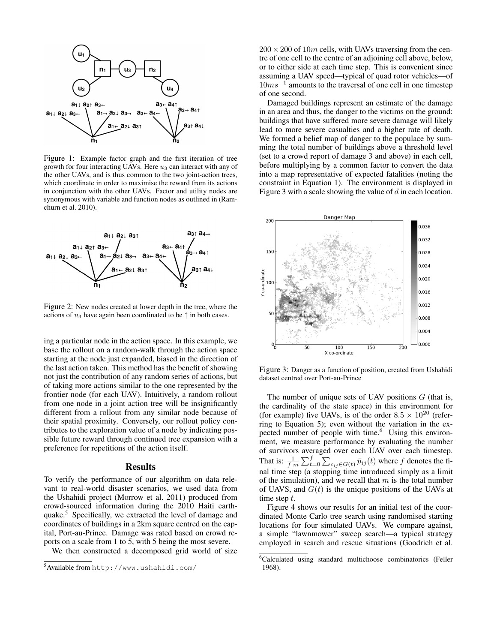

Figure 1: Example factor graph and the first iteration of tree growth for four interacting UAVs. Here  $u_3$  can interact with any of the other UAVs, and is thus common to the two joint-action trees, which coordinate in order to maximise the reward from its actions in conjunction with the other UAVs. Factor and utility nodes are synonymous with variable and function nodes as outlined in (Ramchurn et al. 2010).



Figure 2: New nodes created at lower depth in the tree, where the actions of  $u_3$  have again been coordinated to be  $\uparrow$  in both cases.

ing a particular node in the action space. In this example, we base the rollout on a random-walk through the action space starting at the node just expanded, biased in the direction of the last action taken. This method has the benefit of showing not just the contribution of any random series of actions, but of taking more actions similar to the one represented by the frontier node (for each UAV). Intuitively, a random rollout from one node in a joint action tree will be insignificantly different from a rollout from any similar node because of their spatial proximity. Conversely, our rollout policy contributes to the exploration value of a node by indicating possible future reward through continued tree expansion with a preference for repetitions of the action itself.

#### Results

To verify the performance of our algorithm on data relevant to real-world disaster scenarios, we used data from the Ushahidi project (Morrow et al. 2011) produced from crowd-sourced information during the 2010 Haiti earthquake.<sup>5</sup> Specifically, we extracted the level of damage and coordinates of buildings in a 2km square centred on the capital, Port-au-Prince. Damage was rated based on crowd reports on a scale from 1 to 5, with 5 being the most severe.

We then constructed a decomposed grid world of size

 $200 \times 200$  of 10m cells, with UAVs traversing from the centre of one cell to the centre of an adjoining cell above, below, or to either side at each time step. This is convenient since assuming a UAV speed—typical of quad rotor vehicles—of  $10ms<sup>-1</sup>$  amounts to the traversal of one cell in one timestep of one second.

Damaged buildings represent an estimate of the damage in an area and thus, the danger to the victims on the ground: buildings that have suffered more severe damage will likely lead to more severe casualties and a higher rate of death. We formed a belief map of danger to the populace by summing the total number of buildings above a threshold level (set to a crowd report of damage 3 and above) in each cell, before multiplying by a common factor to convert the data into a map representative of expected fatalities (noting the constraint in Equation 1). The environment is displayed in Figure 3 with a scale showing the value of  $d$  in each location.



Figure 3: Danger as a function of position, created from Ushahidi dataset centred over Port-au-Prince

The number of unique sets of UAV positions  $G$  (that is, the cardinality of the state space) in this environment for (for example) five UAVs, is of the order  $8.5 \times 10^{20}$  (referring to Equation 5); even without the variation in the expected number of people with time.<sup>6</sup> Using this environment, we measure performance by evaluating the number of survivors averaged over each UAV over each timestep. That is:  $\frac{1}{f \cdot m} \sum_{t=0}^{f} \sum_{c_{ij} \in G(t)} \bar{p}_{ij}(t)$  where f denotes the final time step (a stopping time introduced simply as a limit of the simulation), and we recall that  $m$  is the total number of UAVS, and  $G(t)$  is the unique positions of the UAVs at time step t.

Figure 4 shows our results for an initial test of the coordinated Monte Carlo tree search using randomised starting locations for four simulated UAVs. We compare against, a simple "lawnmower" sweep search—a typical strategy employed in search and rescue situations (Goodrich et al.

<sup>5</sup>Available from http://www.ushahidi.com/

<sup>&</sup>lt;sup>6</sup>Calculated using standard multichoose combinatorics (Feller 1968).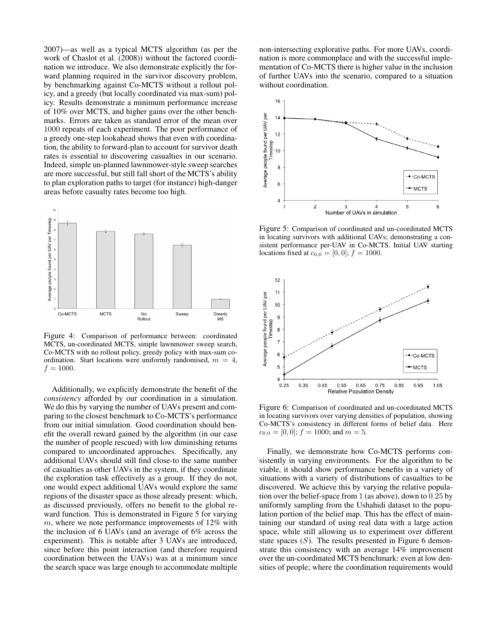2007)—as well as a typical MCTS algorithm (as per the work of Chaslot et al. (2008)) without the factored coordination we introduce. We also demonstrate explicitly the forward planning required in the survivor discovery problem, by benchmarking against Co-MCTS without a rollout policy, and a greedy (but locally coordinated via max-sum) policy. Results demonstrate a minimum performance increase of 10% over MCTS, and higher gains over the other benchmarks. Errors are taken as standard error of the mean over 1000 repeats of each experiment. The poor performance of a greedy one-step lookahead shows that even with coordination, the ability to forward-plan to account for survivor death rates is essential to discovering casualties in our scenario. Indeed, simple un-planned lawnmower-style sweep searches are more successful, but still fall short of the MCTS's ability to plan exploration paths to target (for instance) high-danger areas before casualty rates become too high.



Figure 4: Comparison of performance between: coordinated MCTS, un-coordinated MCTS, simple lawnmower sweep search, Co-MCTS with no rollout policy, greedy policy with max-sum coordination. Start locations were uniformly randomised,  $m = 4$ ,  $f = 1000.$ 

Additionally, we explicitly demonstrate the benefit of the *consistency* afforded by our coordination in a simulation. We do this by varying the number of UAVs present and comparing to the closest benchmark to Co-MCTS's performance from our initial simulation. Good coordination should benefit the overall reward gained by the algorithm (in our case the number of people rescued) with low diminishing returns compared to uncoordinated approaches. Specifically, any additional UAVs should still find close-to the same number of casualties as other UAVs in the system, if they coordinate the exploration task effectively as a group. If they do not, one would expect additional UAVs would explore the same regions of the disaster space as those already present: which, as discussed previously, offers no benefit to the global reward function. This is demonstrated in Figure 5 for varying  $m$ , where we note performance improvements of 12% with the inclusion of 6 UAVs (and an average of 6% across the experiment). This is notable after 3 UAVs are introduced, since before this point interaction (and therefore required coordination between the UAVs) was at a minimum since the search space was large enough to accommodate multiple

non-intersecting explorative paths. For more UAVs, coordination is more commonplace and with the successful implementation of Co-MCTS there is higher value in the inclusion of further UAVs into the scenario, compared to a situation without coordination.



Figure 5: Comparison of coordinated and un-coordinated MCTS in locating survivors with additional UAVs; demonstrating a consistent performance per-UAV in Co-MCTS. Initial UAV starting locations fixed at  $c_{0,0} = [0, 0]; f = 1000$ .



Figure 6: Comparison of coordinated and un-coordinated MCTS in locating survivors over varying densities of population, showing Co-MCTS's consistency in different forms of belief data. Here  $c_{0,0} = [0,0]; f = 1000;$  and  $m = 5$ .

Finally, we demonstrate how Co-MCTS performs consistently in varying environments. For the algorithm to be viable, it should show performance benefits in a variety of situations with a variety of distributions of casualties to be discovered. We achieve this by varying the relative population over the belief-space from 1 (as above), down to 0.25 by uniformly sampling from the Ushahidi dataset to the population portion of the belief map. This has the effect of maintaining our standard of using real data with a large action space, while still allowing us to experiment over different state spaces  $(S)$ . The results presented in Figure 6 demonstrate this consistency with an average 14% improvement over the un-coordinated MCTS benchmark: even at low densities of people; where the coordination requirements would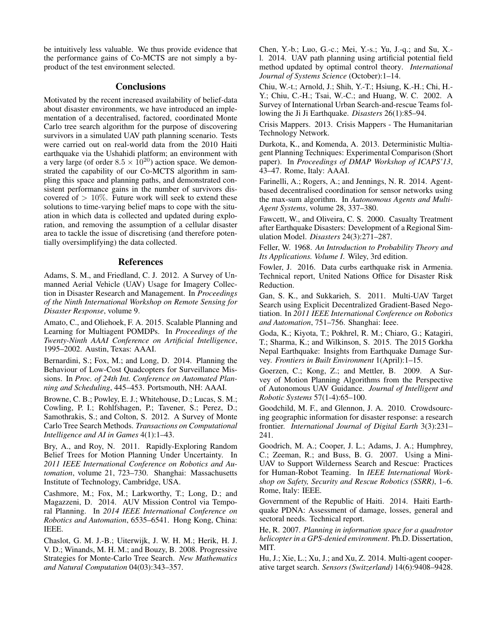be intuitively less valuable. We thus provide evidence that the performance gains of Co-MCTS are not simply a byproduct of the test environment selected.

# **Conclusions**

Motivated by the recent increased availability of belief-data about disaster environments, we have introduced an implementation of a decentralised, factored, coordinated Monte Carlo tree search algorithm for the purpose of discovering survivors in a simulated UAV path planning scenario. Tests were carried out on real-world data from the 2010 Haiti earthquake via the Ushahidi platform; an environment with a very large (of order  $8.5 \times 10^{20}$ ) action space. We demonstrated the capability of our Co-MCTS algorithm in sampling this space and planning paths, and demonstrated consistent performance gains in the number of survivors discovered of  $> 10\%$ . Future work will seek to extend these solutions to time-varying belief maps to cope with the situation in which data is collected and updated during exploration, and removing the assumption of a cellular disaster area to tackle the issue of discretising (and therefore potentially oversimplifying) the data collected.

### References

Adams, S. M., and Friedland, C. J. 2012. A Survey of Unmanned Aerial Vehicle (UAV) Usage for Imagery Collection in Disaster Research and Management. In *Proceedings of the Ninth International Workshop on Remote Sensing for Disaster Response*, volume 9.

Amato, C., and Oliehoek, F. A. 2015. Scalable Planning and Learning for Multiagent POMDPs. In *Proceedings of the Twenty-Ninth AAAI Conference on Artificial Intelligence*, 1995–2002. Austin, Texas: AAAI.

Bernardini, S.; Fox, M.; and Long, D. 2014. Planning the Behaviour of Low-Cost Quadcopters for Surveillance Missions. In *Proc. of 24th Int. Conference on Automated Planning and Scheduling*, 445–453. Portsmouth, NH: AAAI.

Browne, C. B.; Powley, E. J.; Whitehouse, D.; Lucas, S. M.; Cowling, P. I.; Rohlfshagen, P.; Tavener, S.; Perez, D.; Samothrakis, S.; and Colton, S. 2012. A Survey of Monte Carlo Tree Search Methods. *Transactions on Computational Intelligence and AI in Games* 4(1):1–43.

Bry, A., and Roy, N. 2011. Rapidly-Exploring Random Belief Trees for Motion Planning Under Uncertainty. In *2011 IEEE International Conference on Robotics and Automation*, volume 21, 723–730. Shanghai: Massachusetts Institute of Technology, Cambridge, USA.

Cashmore, M.; Fox, M.; Larkworthy, T.; Long, D.; and Magazzeni, D. 2014. AUV Mission Control via Temporal Planning. In *2014 IEEE International Conference on Robotics and Automation*, 6535–6541. Hong Kong, China: IEEE.

Chaslot, G. M. J.-B.; Uiterwijk, J. W. H. M.; Herik, H. J. V. D.; Winands, M. H. M.; and Bouzy, B. 2008. Progressive Strategies for Monte-Carlo Tree Search. *New Mathematics and Natural Computation* 04(03):343–357.

Chen, Y.-b.; Luo, G.-c.; Mei, Y.-s.; Yu, J.-q.; and Su, X. l. 2014. UAV path planning using artificial potential field method updated by optimal control theory. *International Journal of Systems Science* (October):1–14.

Chiu, W.-t.; Arnold, J.; Shih, Y.-T.; Hsiung, K.-H.; Chi, H.- Y.; Chiu, C.-H.; Tsai, W.-C.; and Huang, W. C. 2002. A Survey of International Urban Search-and-rescue Teams following the Ji Ji Earthquake. *Disasters* 26(1):85–94.

Crisis Mappers. 2013. Crisis Mappers - The Humanitarian Technology Network.

Durkota, K., and Komenda, A. 2013. Deterministic Multiagent Planning Techniques: Experimental Comparison (Short paper). In *Proceedings of DMAP Workshop of ICAPS'13*, 43–47. Rome, Italy: AAAI.

Farinelli, A.; Rogers, A.; and Jennings, N. R. 2014. Agentbased decentralised coordination for sensor networks using the max-sum algorithm. In *Autonomous Agents and Multi-Agent Systems*, volume 28, 337–380.

Fawcett, W., and Oliveira, C. S. 2000. Casualty Treatment after Earthquake Disasters: Development of a Regional Simulation Model. *Disasters* 24(3):271–287.

Feller, W. 1968. *An Introduction to Probability Theory and Its Applications. Volume I*. Wiley, 3rd edition.

Fowler, J. 2016. Data curbs earthquake risk in Armenia. Technical report, United Nations Office for Disaster Risk Reduction.

Gan, S. K., and Sukkarieh, S. 2011. Multi-UAV Target Search using Explicit Decentralized Gradient-Based Negotiation. In *2011 IEEE International Conference on Robotics and Automation*, 751–756. Shanghai: Ieee.

Goda, K.; Kiyota, T.; Pokhrel, R. M.; Chiaro, G.; Katagiri, T.; Sharma, K.; and Wilkinson, S. 2015. The 2015 Gorkha Nepal Earthquake: Insights from Earthquake Damage Survey. *Frontiers in Built Environment* 1(April):1–15.

Goerzen, C.; Kong, Z.; and Mettler, B. 2009. A Survey of Motion Planning Algorithms from the Perspective of Autonomous UAV Guidance. *Journal of Intelligent and Robotic Systems* 57(1-4):65–100.

Goodchild, M. F., and Glennon, J. A. 2010. Crowdsourcing geographic information for disaster response: a research frontier. *International Journal of Digital Earth* 3(3):231– 241.

Goodrich, M. A.; Cooper, J. L.; Adams, J. A.; Humphrey, C.; Zeeman, R.; and Buss, B. G. 2007. Using a Mini-UAV to Support Wilderness Search and Rescue: Practices for Human-Robot Teaming. In *IEEE International Workshop on Safety, Security and Rescue Robotics (SSRR)*, 1–6. Rome, Italy: IEEE.

Government of the Republic of Haiti. 2014. Haiti Earthquake PDNA: Assessment of damage, losses, general and sectoral needs. Technical report.

He, R. 2007. *Planning in information space for a quadrotor helicopter in a GPS-denied environment*. Ph.D. Dissertation, MIT.

Hu, J.; Xie, L.; Xu, J.; and Xu, Z. 2014. Multi-agent cooperative target search. *Sensors (Switzerland)* 14(6):9408–9428.